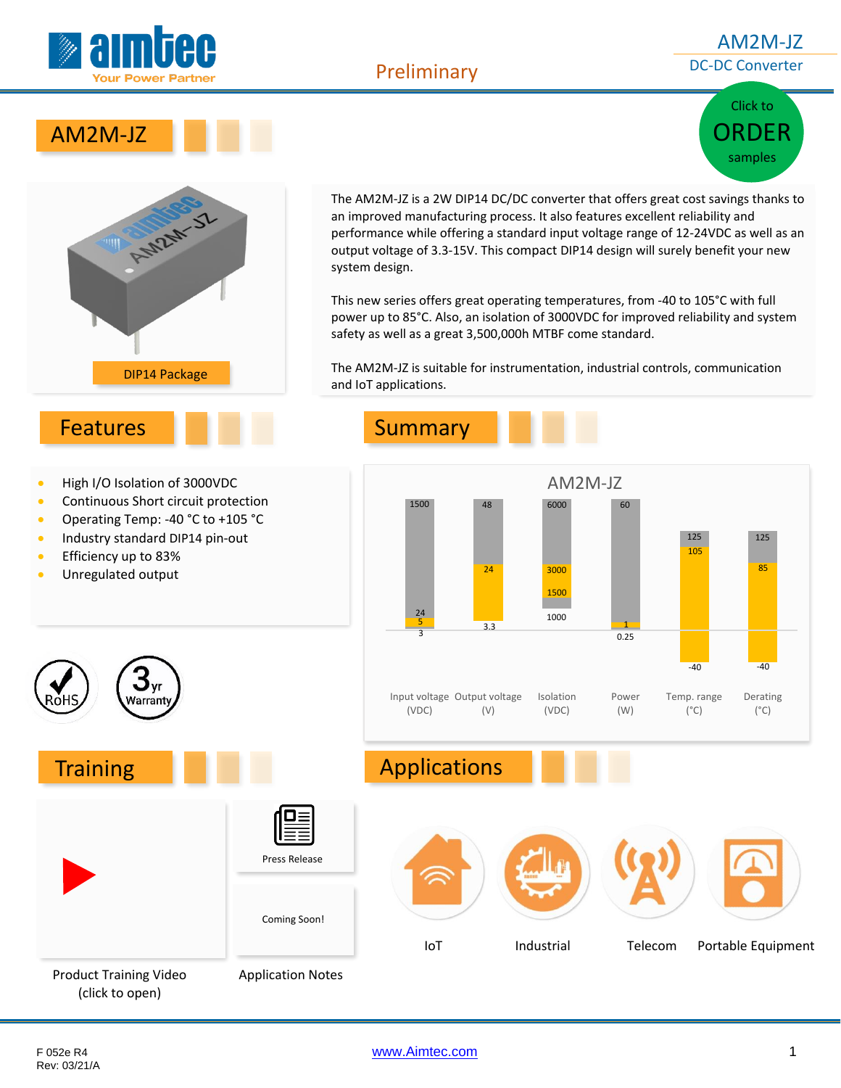

#### Preliminary

#### AM2M-JZ DC-DC Converter

# Click to [ORDER](http://www.aimtec.com/am2m-jz) samples





• Operating Temp: -40 °C to +105 °C • Industry standard DIP14 pin-out

• Efficiency up to 83% • Unregulated output The AM2M-JZ is a 2W DIP14 DC/DC converter that offers great cost savings thanks to an improved manufacturing process. It also features excellent reliability and performance while offering a standard input voltage range of 12-24VDC as well as an output voltage of 3.3-15V. This compact DIP14 design will surely benefit your new system design.

This new series offers great operating temperatures, from -40 to 105°C with full power up to 85°C. Also, an isolation of 3000VDC for improved reliability and system safety as well as a great 3,500,000h MTBF come standard.

The AM2M-JZ is suitable for instrumentation, industrial controls, communication and IoT applications.



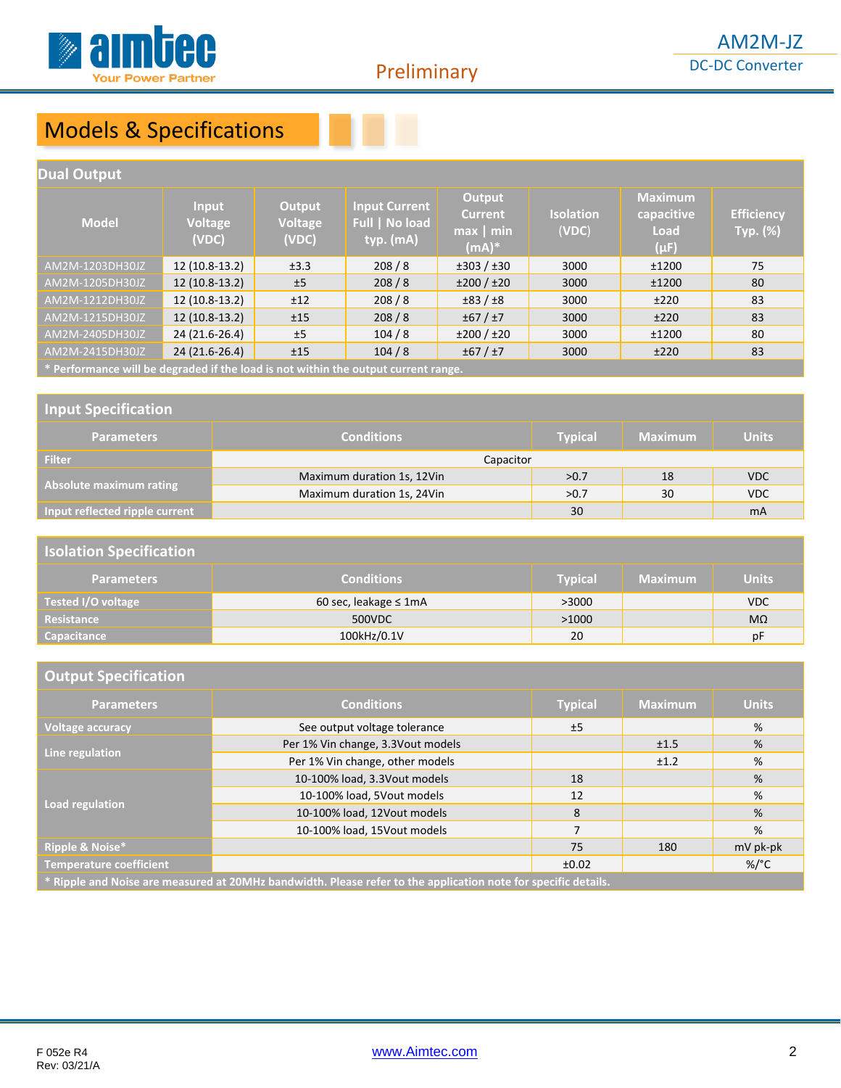

# Models & Specifications

| <b>Dual Output</b>                                                                 |                                  |                                   |                                                     |                                                                        |                           |                                                   |                                      |
|------------------------------------------------------------------------------------|----------------------------------|-----------------------------------|-----------------------------------------------------|------------------------------------------------------------------------|---------------------------|---------------------------------------------------|--------------------------------------|
| <b>Model</b>                                                                       | Input<br><b>Voltage</b><br>(VDC) | <b>Output</b><br>Voltage<br>(VDC) | <b>Input Current</b><br>Full   No load<br>typ. (mA) | Output<br><b>Current</b><br>$\overline{\mathsf{max}}$   min<br>$(mA)*$ | <b>Isolation</b><br>(VDC) | <b>Maximum</b><br>capacitive<br>Load<br>$(\mu F)$ | <b>Efficiency</b><br><b>Typ.</b> (%) |
| AM2M-1203DH30JZ                                                                    | 12 (10.8-13.2)                   | ±3.3                              | 208/8                                               | ±303 / ±30                                                             | 3000                      | ±1200                                             | 75                                   |
| AM2M-1205DH30JZ                                                                    | 12 (10.8-13.2)                   | ±5                                | 208/8                                               | ±200 / ±20                                                             | 3000                      | ±1200                                             | 80                                   |
| AM2M-1212DH30JZ                                                                    | 12 (10.8-13.2)                   | ±12                               | 208/8                                               | ±83/±8                                                                 | 3000                      | ±220                                              | 83                                   |
| AM2M-1215DH30JZ                                                                    | $12(10.8-13.2)$                  | ±15                               | 208/8                                               | ±67 / ±7                                                               | 3000                      | ±220                                              | 83                                   |
| AM2M-2405DH30JZ                                                                    | 24 (21.6-26.4)                   | ±5                                | 104/8                                               | ±200 / ±20                                                             | 3000                      | ±1200                                             | 80                                   |
| AM2M-2415DH30JZ                                                                    | 24 (21.6-26.4)                   | ±15                               | 104/8                                               | ±67 / ±7                                                               | 3000                      | ±220                                              | 83                                   |
| * Performance will be degraded if the load is not within the output current range. |                                  |                                   |                                                     |                                                                        |                           |                                                   |                                      |

**\* Performance will be degraded if the load is not within the output current range.**

#### **Input Specification**

| <b>Parameters</b>              | <b>Conditions</b>          | <b>Typical</b> | <b>Maximum</b> | <b>Units</b> |
|--------------------------------|----------------------------|----------------|----------------|--------------|
| <b>Filter</b>                  | Capacitor                  |                |                |              |
|                                | Maximum duration 1s, 12Vin | >0.7           | 18             | <b>VDC</b>   |
| Absolute maximum rating        | Maximum duration 1s, 24Vin | >0.7           | 30             | <b>VDC</b>   |
| Input reflected ripple current |                            | 30             |                | mA           |

#### **Isolation Specification**

| <b>Parameters</b>  | <b>Conditions</b>           | Typical | <b>Maximum</b> | <b>Units</b> |
|--------------------|-----------------------------|---------|----------------|--------------|
| Tested I/O voltage | 60 sec, leakage $\leq 1$ mA | >3000   |                | <b>VDC</b>   |
| Resistance         | 500VDC                      | >1000   |                | $M\Omega$    |
| Capacitance        | 100kHz/0.1V                 | 20      |                | pF           |

| <b>Output Specification</b>                                                                                    |                                   |                |                |                 |
|----------------------------------------------------------------------------------------------------------------|-----------------------------------|----------------|----------------|-----------------|
| <b>Parameters</b>                                                                                              | <b>Conditions</b>                 | <b>Typical</b> | <b>Maximum</b> | <b>Units</b>    |
| <b>Voltage accuracy</b>                                                                                        | See output voltage tolerance      | ±5             |                | %               |
| Line regulation                                                                                                | Per 1% Vin change, 3.3Vout models |                | ±1.5           | %               |
|                                                                                                                | Per 1% Vin change, other models   |                | ±1.2           | %               |
|                                                                                                                | 10-100% load, 3.3Vout models      | 18             |                | %               |
| Load regulation                                                                                                | 10-100% load, 5Vout models        | 12             |                | %               |
|                                                                                                                | 10-100% load, 12Vout models       | 8              |                | %               |
|                                                                                                                | 10-100% load, 15Vout models       | 7              |                | %               |
| Ripple & Noise*                                                                                                |                                   | 75             | 180            | mV pk-pk        |
| <b>Temperature coefficient</b>                                                                                 |                                   | ±0.02          |                | %/ $^{\circ}$ C |
| * Ripple and Noise are measured at 20MHz bandwidth. Please refer to the application note for specific details. |                                   |                |                |                 |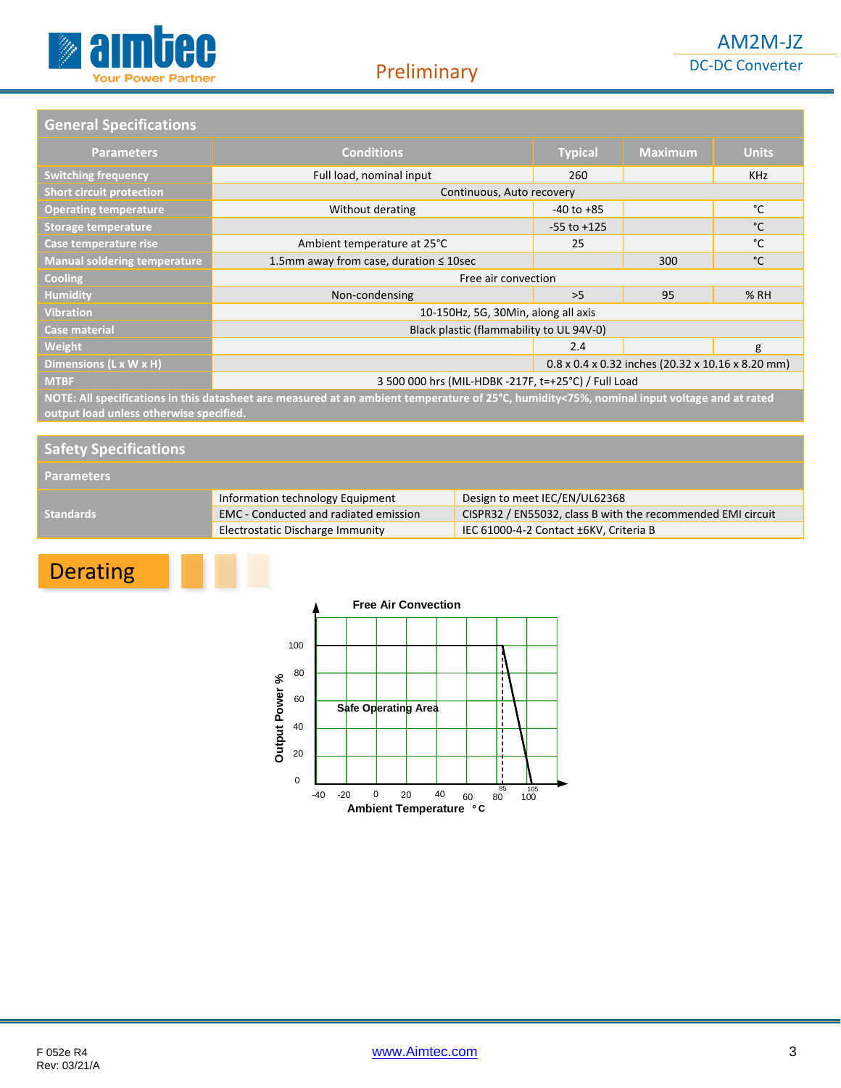

#### **General Specifications**

| <b>Parameters</b>                                                                                                                           | <b>Conditions</b>                                             | <b>Typical</b>  | <b>Maximum</b> | <b>Units</b> |
|---------------------------------------------------------------------------------------------------------------------------------------------|---------------------------------------------------------------|-----------------|----------------|--------------|
| <b>Switching frequency</b>                                                                                                                  | Full load, nominal input                                      | 260             |                | <b>KHz</b>   |
| <b>Short circuit protection</b>                                                                                                             | Continuous, Auto recovery                                     |                 |                |              |
| <b>Operating temperature</b>                                                                                                                | Without derating                                              | $-40$ to $+85$  |                | °C           |
| <b>Storage temperature</b>                                                                                                                  |                                                               | $-55$ to $+125$ |                | °C           |
| Case temperature rise                                                                                                                       | Ambient temperature at 25°C                                   | 25              |                | °C           |
| <b>Manual soldering temperature</b>                                                                                                         | 1.5mm away from case, duration $\leq$ 10sec                   |                 | 300            | °C           |
| <b>Cooling</b>                                                                                                                              | Free air convection                                           |                 |                |              |
| <b>Humidity</b>                                                                                                                             | Non-condensing                                                | >5              | 95             | % RH         |
| <b>Vibration</b>                                                                                                                            | 10-150Hz, 5G, 30Min, along all axis                           |                 |                |              |
| <b>Case material</b>                                                                                                                        | Black plastic (flammability to UL 94V-0)                      |                 |                |              |
| Weight                                                                                                                                      |                                                               | 2.4             |                | g            |
| Dimensions (L x W x H)                                                                                                                      | $0.8 \times 0.4 \times 0.32$ inches (20.32 x 10.16 x 8.20 mm) |                 |                |              |
| <b>MTBF</b>                                                                                                                                 | 3 500 000 hrs (MIL-HDBK -217F, t=+25°C) / Full Load           |                 |                |              |
| NOTE: All specifications in this datasheet are measured at an ambient temperature of 25°C, humidity<75%, nominal input voltage and at rated |                                                               |                 |                |              |

**output load unless otherwise specified.**

| <b>Safety Specifications</b> |                                              |                                                             |  |
|------------------------------|----------------------------------------------|-------------------------------------------------------------|--|
| <b>Parameters</b>            |                                              |                                                             |  |
|                              | Information technology Equipment             | Design to meet IEC/EN/UL62368                               |  |
| <b>Standards</b>             | <b>EMC</b> - Conducted and radiated emission | CISPR32 / EN55032, class B with the recommended EMI circuit |  |
|                              | Electrostatic Discharge Immunity             | IEC 61000-4-2 Contact ±6KV, Criteria B                      |  |

# Derating

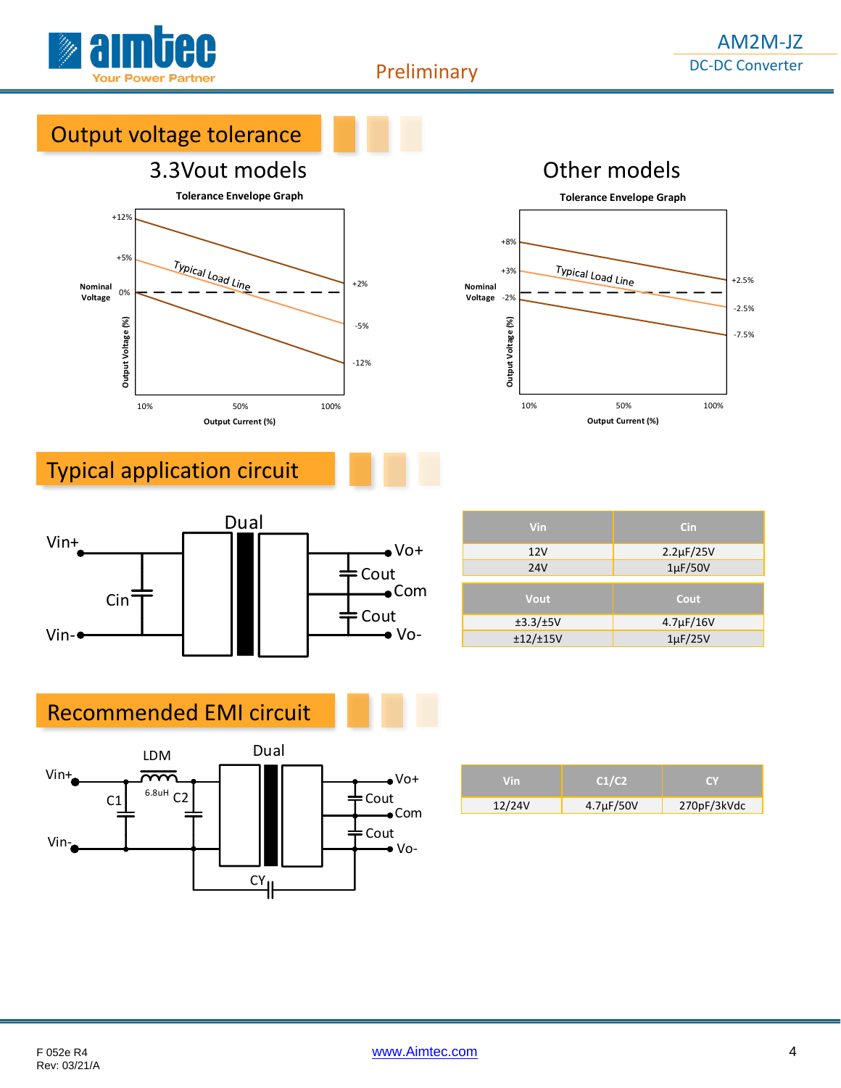

Preliminary

# Output voltage tolerance

# 3.3Vout models Other models





# Typical application circuit



| <b>Vin</b>       | Cin                |
|------------------|--------------------|
| 12V              | $2.2 \mu F / 25 V$ |
| <b>24V</b>       | $1\mu$ F/50V       |
|                  |                    |
| Vout             | Cout               |
| $\pm 3.3/\pm 5V$ | $4.7 \mu F / 16V$  |
| ±12/±15V         | $1\mu$ F/25V       |

## Recommended EMI circuit



| Vin    | C1/C2          |             |
|--------|----------------|-------------|
| 12/24V | $4.7\mu F/50V$ | 270pF/3kVdc |